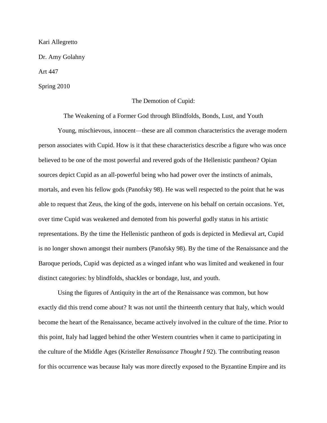Kari Allegretto

Dr. Amy Golahny

Art 447

Spring 2010

#### The Demotion of Cupid:

The Weakening of a Former God through Blindfolds, Bonds, Lust, and Youth

Young, mischievous, innocent—these are all common characteristics the average modern person associates with Cupid. How is it that these characteristics describe a figure who was once believed to be one of the most powerful and revered gods of the Hellenistic pantheon? Opian sources depict Cupid as an all-powerful being who had power over the instincts of animals, mortals, and even his fellow gods (Panofsky 98). He was well respected to the point that he was able to request that Zeus, the king of the gods, intervene on his behalf on certain occasions. Yet, over time Cupid was weakened and demoted from his powerful godly status in his artistic representations. By the time the Hellenistic pantheon of gods is depicted in Medieval art, Cupid is no longer shown amongst their numbers (Panofsky 98). By the time of the Renaissance and the Baroque periods, Cupid was depicted as a winged infant who was limited and weakened in four distinct categories: by blindfolds, shackles or bondage, lust, and youth.

Using the figures of Antiquity in the art of the Renaissance was common, but how exactly did this trend come about? It was not until the thirteenth century that Italy, which would become the heart of the Renaissance, became actively involved in the culture of the time. Prior to this point, Italy had lagged behind the other Western countries when it came to participating in the culture of the Middle Ages (Kristeller *Renaissance Thought I* 92). The contributing reason for this occurrence was because Italy was more directly exposed to the Byzantine Empire and its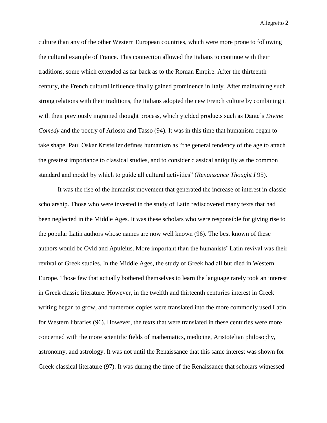culture than any of the other Western European countries, which were more prone to following the cultural example of France. This connection allowed the Italians to continue with their traditions, some which extended as far back as to the Roman Empire. After the thirteenth century, the French cultural influence finally gained prominence in Italy. After maintaining such strong relations with their traditions, the Italians adopted the new French culture by combining it with their previously ingrained thought process, which yielded products such as Dante"s *Divine Comedy* and the poetry of Ariosto and Tasso (94). It was in this time that humanism began to take shape. Paul Oskar Kristeller defines humanism as "the general tendency of the age to attach the greatest importance to classical studies, and to consider classical antiquity as the common standard and model by which to guide all cultural activities" (*Renaissance Thought I* 95).

It was the rise of the humanist movement that generated the increase of interest in classic scholarship. Those who were invested in the study of Latin rediscovered many texts that had been neglected in the Middle Ages. It was these scholars who were responsible for giving rise to the popular Latin authors whose names are now well known (96). The best known of these authors would be Ovid and Apuleius. More important than the humanists" Latin revival was their revival of Greek studies. In the Middle Ages, the study of Greek had all but died in Western Europe. Those few that actually bothered themselves to learn the language rarely took an interest in Greek classic literature. However, in the twelfth and thirteenth centuries interest in Greek writing began to grow, and numerous copies were translated into the more commonly used Latin for Western libraries (96). However, the texts that were translated in these centuries were more concerned with the more scientific fields of mathematics, medicine, Aristotelian philosophy, astronomy, and astrology. It was not until the Renaissance that this same interest was shown for Greek classical literature (97). It was during the time of the Renaissance that scholars witnessed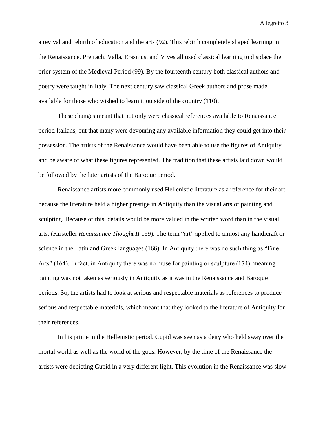a revival and rebirth of education and the arts (92). This rebirth completely shaped learning in the Renaissance. Pretrach, Valla, Erasmus, and Vives all used classical learning to displace the prior system of the Medieval Period (99). By the fourteenth century both classical authors and poetry were taught in Italy. The next century saw classical Greek authors and prose made available for those who wished to learn it outside of the country (110).

These changes meant that not only were classical references available to Renaissance period Italians, but that many were devouring any available information they could get into their possession. The artists of the Renaissance would have been able to use the figures of Antiquity and be aware of what these figures represented. The tradition that these artists laid down would be followed by the later artists of the Baroque period.

Renaissance artists more commonly used Hellenistic literature as a reference for their art because the literature held a higher prestige in Antiquity than the visual arts of painting and sculpting. Because of this, details would be more valued in the written word than in the visual arts. (Kirsteller *Renaissance Thought II* 169). The term "art" applied to almost any handicraft or science in the Latin and Greek languages (166). In Antiquity there was no such thing as "Fine Arts" (164). In fact, in Antiquity there was no muse for painting or sculpture (174), meaning painting was not taken as seriously in Antiquity as it was in the Renaissance and Baroque periods. So, the artists had to look at serious and respectable materials as references to produce serious and respectable materials, which meant that they looked to the literature of Antiquity for their references.

In his prime in the Hellenistic period, Cupid was seen as a deity who held sway over the mortal world as well as the world of the gods. However, by the time of the Renaissance the artists were depicting Cupid in a very different light. This evolution in the Renaissance was slow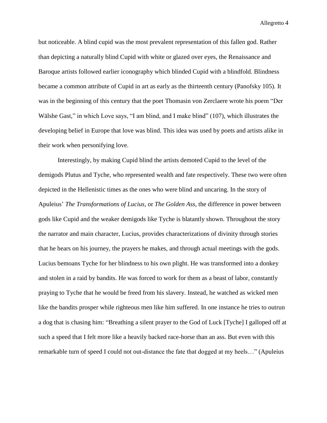but noticeable. A blind cupid was the most prevalent representation of this fallen god. Rather than depicting a naturally blind Cupid with white or glazed over eyes, the Renaissance and Baroque artists followed earlier iconography which blinded Cupid with a blindfold. Blindness became a common attribute of Cupid in art as early as the thirteenth century (Panofsky 105). It was in the beginning of this century that the poet Thomasin von Zerclaere wrote his poem "Der Wälshe Gast," in which Love says, "I am blind, and I make blind" (107), which illustrates the developing belief in Europe that love was blind. This idea was used by poets and artists alike in their work when personifying love.

Interestingly, by making Cupid blind the artists demoted Cupid to the level of the demigods Plutus and Tyche, who represented wealth and fate respectively. These two were often depicted in the Hellenistic times as the ones who were blind and uncaring. In the story of Apuleius" *The Transformations of Lucius,* or *The Golden Ass*, the difference in power between gods like Cupid and the weaker demigods like Tyche is blatantly shown. Throughout the story the narrator and main character, Lucius, provides characterizations of divinity through stories that he hears on his journey, the prayers he makes, and through actual meetings with the gods. Lucius bemoans Tyche for her blindness to his own plight. He was transformed into a donkey and stolen in a raid by bandits. He was forced to work for them as a beast of labor, constantly praying to Tyche that he would be freed from his slavery. Instead, he watched as wicked men like the bandits prosper while righteous men like him suffered. In one instance he tries to outrun a dog that is chasing him: "Breathing a silent prayer to the God of Luck [Tyche] I galloped off at such a speed that I felt more like a heavily backed race-horse than an ass. But even with this remarkable turn of speed I could not out-distance the fate that dogged at my heels…" (Apuleius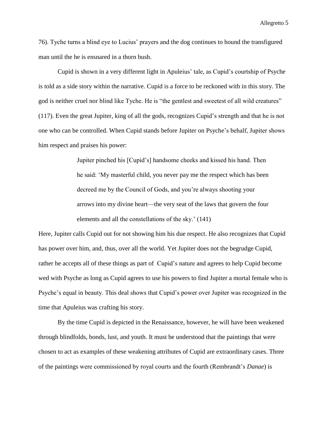76). Tyche turns a blind eye to Lucius" prayers and the dog continues to hound the transfigured man until the he is ensnared in a thorn bush.

Cupid is shown in a very different light in Apuleius" tale, as Cupid"s courtship of Psyche is told as a side story within the narrative. Cupid is a force to be reckoned with in this story. The god is neither cruel nor blind like Tyche. He is "the gentlest and sweetest of all wild creatures" (117). Even the great Jupiter, king of all the gods, recognizes Cupid"s strength and that he is not one who can be controlled. When Cupid stands before Jupiter on Psyche"s behalf, Jupiter shows him respect and praises his power:

> Jupiter pinched his [Cupid"s] handsome cheeks and kissed his hand. Then he said: "My masterful child, you never pay me the respect which has been decreed me by the Council of Gods, and you"re always shooting your arrows into my divine heart—the very seat of the laws that govern the four elements and all the constellations of the sky." (141)

Here, Jupiter calls Cupid out for not showing him his due respect. He also recognizes that Cupid has power over him, and, thus, over all the world. Yet Jupiter does not the begrudge Cupid, rather he accepts all of these things as part of Cupid's nature and agrees to help Cupid become wed with Psyche as long as Cupid agrees to use his powers to find Jupiter a mortal female who is Psyche's equal in beauty. This deal shows that Cupid's power over Jupiter was recognized in the time that Apuleius was crafting his story.

By the time Cupid is depicted in the Renaissance, however, he will have been weakened through blindfolds, bonds, lust, and youth. It must be understood that the paintings that were chosen to act as examples of these weakening attributes of Cupid are extraordinary cases. Three of the paintings were commissioned by royal courts and the fourth (Rembrandt"s *Danae*) is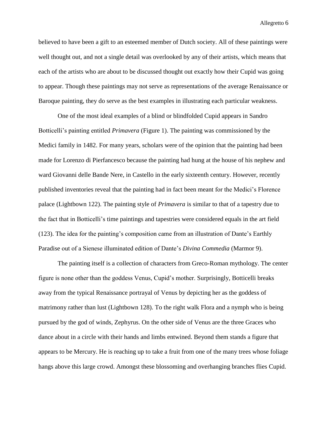believed to have been a gift to an esteemed member of Dutch society. All of these paintings were well thought out, and not a single detail was overlooked by any of their artists, which means that each of the artists who are about to be discussed thought out exactly how their Cupid was going to appear. Though these paintings may not serve as representations of the average Renaissance or Baroque painting, they do serve as the best examples in illustrating each particular weakness.

One of the most ideal examples of a blind or blindfolded Cupid appears in Sandro Botticelli"s painting entitled *Primavera* (Figure 1). The painting was commissioned by the Medici family in 1482. For many years, scholars were of the opinion that the painting had been made for Lorenzo di Pierfancesco because the painting had hung at the house of his nephew and ward Giovanni delle Bande Nere, in Castello in the early sixteenth century. However, recently published inventories reveal that the painting had in fact been meant for the Medici"s Florence palace (Lightbown 122). The painting style of *Primavera* is similar to that of a tapestry due to the fact that in Botticelli"s time paintings and tapestries were considered equals in the art field (123). The idea for the painting"s composition came from an illustration of Dante"s Earthly Paradise out of a Sienese illuminated edition of Dante"s *Divina Commedia* (Marmor 9).

The painting itself is a collection of characters from Greco-Roman mythology. The center figure is none other than the goddess Venus, Cupid"s mother. Surprisingly, Botticelli breaks away from the typical Renaissance portrayal of Venus by depicting her as the goddess of matrimony rather than lust (Lightbown 128). To the right walk Flora and a nymph who is being pursued by the god of winds, Zephyrus. On the other side of Venus are the three Graces who dance about in a circle with their hands and limbs entwined. Beyond them stands a figure that appears to be Mercury. He is reaching up to take a fruit from one of the many trees whose foliage hangs above this large crowd. Amongst these blossoming and overhanging branches flies Cupid.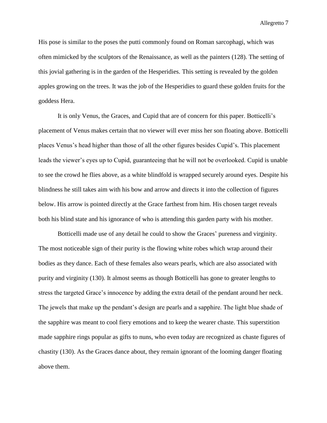His pose is similar to the poses the putti commonly found on Roman sarcophagi, which was often mimicked by the sculptors of the Renaissance, as well as the painters (128). The setting of this jovial gathering is in the garden of the Hesperidies. This setting is revealed by the golden apples growing on the trees. It was the job of the Hesperidies to guard these golden fruits for the goddess Hera.

It is only Venus, the Graces, and Cupid that are of concern for this paper. Botticelli"s placement of Venus makes certain that no viewer will ever miss her son floating above. Botticelli places Venus"s head higher than those of all the other figures besides Cupid"s. This placement leads the viewer"s eyes up to Cupid, guaranteeing that he will not be overlooked. Cupid is unable to see the crowd he flies above, as a white blindfold is wrapped securely around eyes. Despite his blindness he still takes aim with his bow and arrow and directs it into the collection of figures below. His arrow is pointed directly at the Grace farthest from him. His chosen target reveals both his blind state and his ignorance of who is attending this garden party with his mother.

Botticelli made use of any detail he could to show the Graces" pureness and virginity. The most noticeable sign of their purity is the flowing white robes which wrap around their bodies as they dance. Each of these females also wears pearls, which are also associated with purity and virginity (130). It almost seems as though Botticelli has gone to greater lengths to stress the targeted Grace's innocence by adding the extra detail of the pendant around her neck. The jewels that make up the pendant"s design are pearls and a sapphire. The light blue shade of the sapphire was meant to cool fiery emotions and to keep the wearer chaste. This superstition made sapphire rings popular as gifts to nuns, who even today are recognized as chaste figures of chastity (130). As the Graces dance about, they remain ignorant of the looming danger floating above them.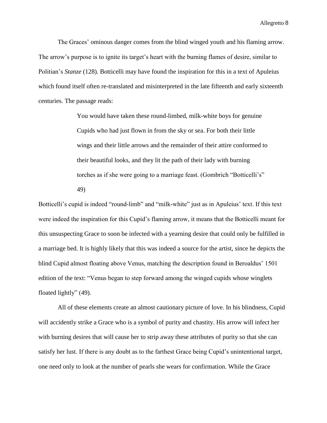The Graces' ominous danger comes from the blind winged youth and his flaming arrow. The arrow's purpose is to ignite its target's heart with the burning flames of desire, similar to Politian"s *Stanze* (128)*.* Botticelli may have found the inspiration for this in a text of Apuleius which found itself often re-translated and misinterpreted in the late fifteenth and early sixteenth centuries. The passage reads:

> You would have taken these round-limbed, milk-white boys for genuine Cupids who had just flown in from the sky or sea. For both their little wings and their little arrows and the remainder of their attire conformed to their beautiful looks, and they lit the path of their lady with burning torches as if she were going to a marriage feast. (Gombrich "Botticelli"s" 49)

Botticelli's cupid is indeed "round-limb" and "milk-white" just as in Apuleius' text. If this text were indeed the inspiration for this Cupid"s flaming arrow, it means that the Botticelli meant for this unsuspecting Grace to soon be infected with a yearning desire that could only be fulfilled in a marriage bed. It is highly likely that this was indeed a source for the artist, since he depicts the blind Cupid almost floating above Venus, matching the description found in Beroaldus" 1501 edition of the text: "Venus began to step forward among the winged cupids whose winglets floated lightly" (49).

All of these elements create an almost cautionary picture of love. In his blindness, Cupid will accidently strike a Grace who is a symbol of purity and chastity. His arrow will infect her with burning desires that will cause her to strip away these attributes of purity so that she can satisfy her lust. If there is any doubt as to the farthest Grace being Cupid"s unintentional target, one need only to look at the number of pearls she wears for confirmation. While the Grace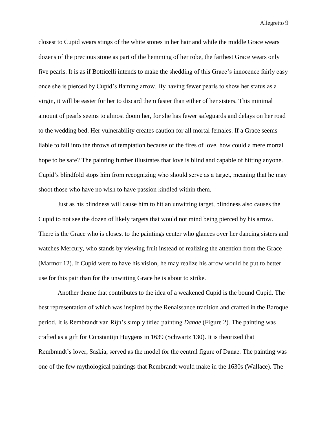closest to Cupid wears stings of the white stones in her hair and while the middle Grace wears dozens of the precious stone as part of the hemming of her robe, the farthest Grace wears only five pearls. It is as if Botticelli intends to make the shedding of this Grace"s innocence fairly easy once she is pierced by Cupid"s flaming arrow. By having fewer pearls to show her status as a virgin, it will be easier for her to discard them faster than either of her sisters. This minimal amount of pearls seems to almost doom her, for she has fewer safeguards and delays on her road to the wedding bed. Her vulnerability creates caution for all mortal females. If a Grace seems liable to fall into the throws of temptation because of the fires of love, how could a mere mortal hope to be safe? The painting further illustrates that love is blind and capable of hitting anyone. Cupid"s blindfold stops him from recognizing who should serve as a target, meaning that he may shoot those who have no wish to have passion kindled within them.

Just as his blindness will cause him to hit an unwitting target, blindness also causes the Cupid to not see the dozen of likely targets that would not mind being pierced by his arrow. There is the Grace who is closest to the paintings center who glances over her dancing sisters and watches Mercury, who stands by viewing fruit instead of realizing the attention from the Grace (Marmor 12). If Cupid were to have his vision, he may realize his arrow would be put to better use for this pair than for the unwitting Grace he is about to strike.

Another theme that contributes to the idea of a weakened Cupid is the bound Cupid. The best representation of which was inspired by the Renaissance tradition and crafted in the Baroque period. It is Rembrandt van Rijn"s simply titled painting *Danae* (Figure 2)*.* The painting was crafted as a gift for Constantijn Huygens in 1639 (Schwartz 130). It is theorized that Rembrandt's lover, Saskia, served as the model for the central figure of Danae. The painting was one of the few mythological paintings that Rembrandt would make in the 1630s (Wallace). The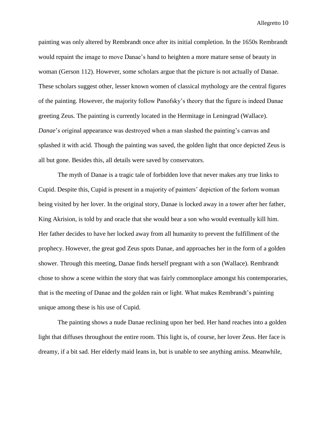painting was only altered by Rembrandt once after its initial completion. In the 1650s Rembrandt would repaint the image to move Danae"s hand to heighten a more mature sense of beauty in woman (Gerson 112). However, some scholars argue that the picture is not actually of Danae. These scholars suggest other, lesser known women of classical mythology are the central figures of the painting. However, the majority follow Panofsky"s theory that the figure is indeed Danae greeting Zeus. The painting is currently located in the Hermitage in Leningrad (Wallace). *Danae*'s original appearance was destroyed when a man slashed the painting's canvas and splashed it with acid. Though the painting was saved, the golden light that once depicted Zeus is all but gone. Besides this, all details were saved by conservators.

The myth of Danae is a tragic tale of forbidden love that never makes any true links to Cupid. Despite this, Cupid is present in a majority of painters" depiction of the forlorn woman being visited by her lover. In the original story, Danae is locked away in a tower after her father, King Akrision, is told by and oracle that she would bear a son who would eventually kill him. Her father decides to have her locked away from all humanity to prevent the fulfillment of the prophecy. However, the great god Zeus spots Danae, and approaches her in the form of a golden shower. Through this meeting, Danae finds herself pregnant with a son (Wallace). Rembrandt chose to show a scene within the story that was fairly commonplace amongst his contemporaries, that is the meeting of Danae and the golden rain or light. What makes Rembrandt"s painting unique among these is his use of Cupid.

The painting shows a nude Danae reclining upon her bed. Her hand reaches into a golden light that diffuses throughout the entire room. This light is, of course, her lover Zeus. Her face is dreamy, if a bit sad. Her elderly maid leans in, but is unable to see anything amiss. Meanwhile,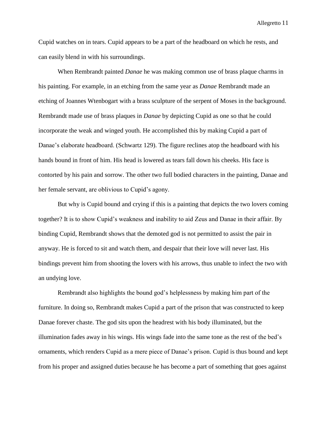Cupid watches on in tears. Cupid appears to be a part of the headboard on which he rests, and can easily blend in with his surroundings.

When Rembrandt painted *Danae* he was making common use of brass plaque charms in his painting. For example, in an etching from the same year as *Danae* Rembrandt made an etching of Joannes Wtenbogart with a brass sculpture of the serpent of Moses in the background. Rembrandt made use of brass plaques in *Danae* by depicting Cupid as one so that he could incorporate the weak and winged youth. He accomplished this by making Cupid a part of Danae's elaborate headboard. (Schwartz 129). The figure reclines atop the headboard with his hands bound in front of him. His head is lowered as tears fall down his cheeks. His face is contorted by his pain and sorrow. The other two full bodied characters in the painting, Danae and her female servant, are oblivious to Cupid's agony.

But why is Cupid bound and crying if this is a painting that depicts the two lovers coming together? It is to show Cupid"s weakness and inability to aid Zeus and Danae in their affair. By binding Cupid, Rembrandt shows that the demoted god is not permitted to assist the pair in anyway. He is forced to sit and watch them, and despair that their love will never last. His bindings prevent him from shooting the lovers with his arrows, thus unable to infect the two with an undying love.

Rembrandt also highlights the bound god"s helplessness by making him part of the furniture. In doing so, Rembrandt makes Cupid a part of the prison that was constructed to keep Danae forever chaste. The god sits upon the headrest with his body illuminated, but the illumination fades away in his wings. His wings fade into the same tone as the rest of the bed"s ornaments, which renders Cupid as a mere piece of Danae"s prison. Cupid is thus bound and kept from his proper and assigned duties because he has become a part of something that goes against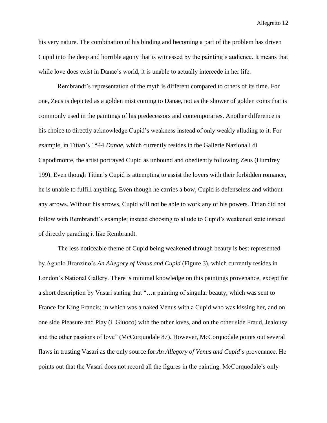his very nature. The combination of his binding and becoming a part of the problem has driven Cupid into the deep and horrible agony that is witnessed by the painting"s audience. It means that while love does exist in Danae's world, it is unable to actually intercede in her life.

Rembrandt"s representation of the myth is different compared to others of its time. For one, Zeus is depicted as a golden mist coming to Danae, not as the shower of golden coins that is commonly used in the paintings of his predecessors and contemporaries. Another difference is his choice to directly acknowledge Cupid"s weakness instead of only weakly alluding to it. For example, in Titian"s 1544 *Danae*, which currently resides in the Gallerie Nazionali di Capodimonte, the artist portrayed Cupid as unbound and obediently following Zeus (Humfrey 199). Even though Titian"s Cupid is attempting to assist the lovers with their forbidden romance, he is unable to fulfill anything. Even though he carries a bow, Cupid is defenseless and without any arrows. Without his arrows, Cupid will not be able to work any of his powers. Titian did not follow with Rembrandt"s example; instead choosing to allude to Cupid"s weakened state instead of directly parading it like Rembrandt.

The less noticeable theme of Cupid being weakened through beauty is best represented by Agnolo Bronzino"s *An Allegory of Venus and Cupid* (Figure 3), which currently resides in London"s National Gallery. There is minimal knowledge on this paintings provenance, except for a short description by Vasari stating that "…a painting of singular beauty, which was sent to France for King Francis; in which was a naked Venus with a Cupid who was kissing her, and on one side Pleasure and Play (il Giuoco) with the other loves, and on the other side Fraud, Jealousy and the other passions of love" (McCorquodale 87). However, McCorquodale points out several flaws in trusting Vasari as the only source for *An Allegory of Venus and Cupid*"s provenance. He points out that the Vasari does not record all the figures in the painting. McCorquodale"s only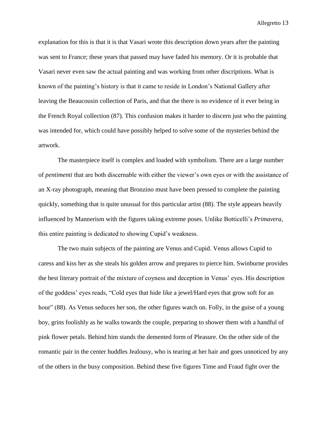explanation for this is that it is that Vasari wrote this description down years after the painting was sent to France; these years that passed may have faded his memory. Or it is probable that Vasari never even saw the actual painting and was working from other discriptions. What is known of the painting"s history is that it came to reside in London"s National Gallery after leaving the Beaucousin collection of Paris, and that the there is no evidence of it ever being in the French Royal collection (87). This confusion makes it harder to discern just who the painting was intended for, which could have possibly helped to solve some of the mysteries behind the artwork.

The masterpiece itself is complex and loaded with symbolism. There are a large number of *pentimenti* that are both discernable with either the viewer"s own eyes or with the assistance of an X-ray photograph, meaning that Bronzino must have been pressed to complete the painting quickly, something that is quite unusual for this particular artist (88). The style appears heavily influenced by Mannerism with the figures taking extreme poses. Unlike Botticelli"s *Primavera*, this entire painting is dedicated to showing Cupid"s weakness.

The two main subjects of the painting are Venus and Cupid. Venus allows Cupid to caress and kiss her as she steals his golden arrow and prepares to pierce him. Swinburne provides the best literary portrait of the mixture of coyness and deception in Venus" eyes. His description of the goddess" eyes reads, "Cold eyes that hide like a jewel/Hard eyes that grow soft for an hour" (88). As Venus seduces her son, the other figures watch on. Folly, in the guise of a young boy, grins foolishly as he walks towards the couple, preparing to shower them with a handful of pink flower petals. Behind him stands the demented form of Pleasure. On the other side of the romantic pair in the center huddles Jealousy, who is tearing at her hair and goes unnoticed by any of the others in the busy composition. Behind these five figures Time and Fraud fight over the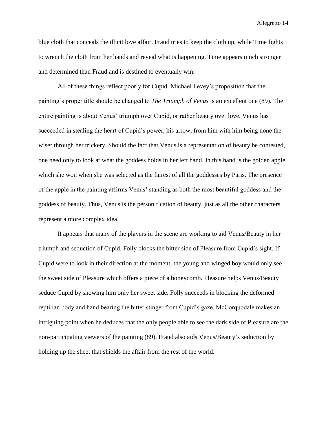blue cloth that conceals the illicit love affair. Fraud tries to keep the cloth up, while Time fights to wrench the cloth from her hands and reveal what is happening. Time appears much stronger and determined than Fraud and is destined to eventually win.

All of these things reflect poorly for Cupid. Michael Levey"s proposition that the painting"s proper title should be changed to *The Triumph of Venus* is an excellent one (89). The entire painting is about Venus' triumph over Cupid, or rather beauty over love. Venus has succeeded in stealing the heart of Cupid's power, his arrow, from him with him being none the wiser through her trickery. Should the fact that Venus is a representation of beauty be contested, one need only to look at what the goddess holds in her left hand. In this hand is the golden apple which she won when she was selected as the fairest of all the goddesses by Paris. The presence of the apple in the painting affirms Venus" standing as both the most beautiful goddess and the goddess of beauty. Thus, Venus is the personification of beauty, just as all the other characters represent a more complex idea.

It appears that many of the players in the scene are working to aid Venus/Beauty in her triumph and seduction of Cupid. Folly blocks the bitter side of Pleasure from Cupid"s sight. If Cupid were to look in their direction at the moment, the young and winged boy would only see the sweet side of Pleasure which offers a piece of a honeycomb. Pleasure helps Venus/Beauty seduce Cupid by showing him only her sweet side. Folly succeeds in blocking the deformed reptilian body and hand bearing the bitter stinger from Cupid"s gaze. McCorquodale makes an intriguing point when he deduces that the only people able to see the dark side of Pleasure are the non-participating viewers of the painting (89). Fraud also aids Venus/Beauty"s seduction by holding up the sheet that shields the affair from the rest of the world.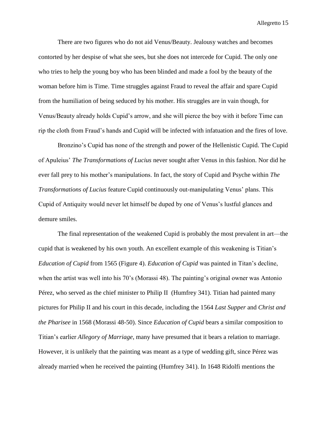There are two figures who do not aid Venus/Beauty. Jealousy watches and becomes contorted by her despise of what she sees, but she does not intercede for Cupid. The only one who tries to help the young boy who has been blinded and made a fool by the beauty of the woman before him is Time. Time struggles against Fraud to reveal the affair and spare Cupid from the humiliation of being seduced by his mother. His struggles are in vain though, for Venus/Beauty already holds Cupid"s arrow, and she will pierce the boy with it before Time can rip the cloth from Fraud"s hands and Cupid will be infected with infatuation and the fires of love.

Bronzino"s Cupid has none of the strength and power of the Hellenistic Cupid. The Cupid of Apuleius" *The Transformations of Lucius* never sought after Venus in this fashion. Nor did he ever fall prey to his mother"s manipulations. In fact, the story of Cupid and Psyche within *The Transformations of Lucius* feature Cupid continuously out-manipulating Venus" plans. This Cupid of Antiquity would never let himself be duped by one of Venus"s lustful glances and demure smiles.

The final representation of the weakened Cupid is probably the most prevalent in art—the cupid that is weakened by his own youth. An excellent example of this weakening is Titian"s *Education of Cupid* from 1565 (Figure 4). *Education of Cupid* was painted in Titan"s decline, when the artist was well into his 70's (Morassi 48). The painting's original owner was Antonio Pérez, who served as the chief minister to Philip II (Humfrey 341). Titian had painted many pictures for Philip II and his court in this decade, including the 1564 *Last Supper* and *Christ and the Pharisee* in 1568 (Morassi 48-50). Since *Education of Cupid* bears a similar composition to Titian"s earlier *Allegory of Marriage*, many have presumed that it bears a relation to marriage. However, it is unlikely that the painting was meant as a type of wedding gift, since Pérez was already married when he received the painting (Humfrey 341). In 1648 Ridolfi mentions the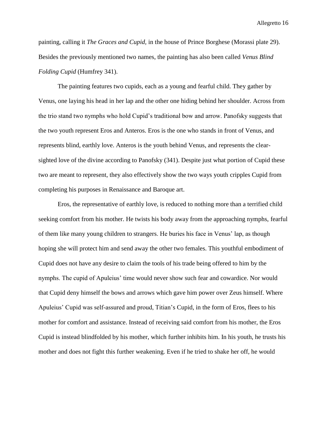painting, calling it *The Graces and Cupid,* in the house of Prince Borghese (Morassi plate 29). Besides the previously mentioned two names, the painting has also been called *Venus Blind Folding Cupid* (Humfrey 341).

The painting features two cupids, each as a young and fearful child. They gather by Venus, one laying his head in her lap and the other one hiding behind her shoulder. Across from the trio stand two nymphs who hold Cupid"s traditional bow and arrow. Panofsky suggests that the two youth represent Eros and Anteros. Eros is the one who stands in front of Venus, and represents blind, earthly love. Anteros is the youth behind Venus, and represents the clearsighted love of the divine according to Panofsky (341). Despite just what portion of Cupid these two are meant to represent, they also effectively show the two ways youth cripples Cupid from completing his purposes in Renaissance and Baroque art.

Eros, the representative of earthly love, is reduced to nothing more than a terrified child seeking comfort from his mother. He twists his body away from the approaching nymphs, fearful of them like many young children to strangers. He buries his face in Venus" lap, as though hoping she will protect him and send away the other two females. This youthful embodiment of Cupid does not have any desire to claim the tools of his trade being offered to him by the nymphs. The cupid of Apuleius" time would never show such fear and cowardice. Nor would that Cupid deny himself the bows and arrows which gave him power over Zeus himself. Where Apuleius" Cupid was self-assured and proud, Titian"s Cupid, in the form of Eros, flees to his mother for comfort and assistance. Instead of receiving said comfort from his mother, the Eros Cupid is instead blindfolded by his mother, which further inhibits him. In his youth, he trusts his mother and does not fight this further weakening. Even if he tried to shake her off, he would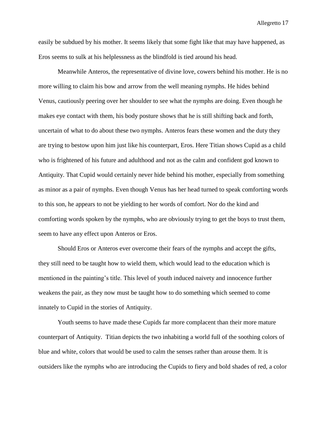easily be subdued by his mother. It seems likely that some fight like that may have happened, as Eros seems to sulk at his helplessness as the blindfold is tied around his head.

Meanwhile Anteros, the representative of divine love, cowers behind his mother. He is no more willing to claim his bow and arrow from the well meaning nymphs. He hides behind Venus, cautiously peering over her shoulder to see what the nymphs are doing. Even though he makes eye contact with them, his body posture shows that he is still shifting back and forth, uncertain of what to do about these two nymphs. Anteros fears these women and the duty they are trying to bestow upon him just like his counterpart, Eros. Here Titian shows Cupid as a child who is frightened of his future and adulthood and not as the calm and confident god known to Antiquity. That Cupid would certainly never hide behind his mother, especially from something as minor as a pair of nymphs. Even though Venus has her head turned to speak comforting words to this son, he appears to not be yielding to her words of comfort. Nor do the kind and comforting words spoken by the nymphs, who are obviously trying to get the boys to trust them, seem to have any effect upon Anteros or Eros.

Should Eros or Anteros ever overcome their fears of the nymphs and accept the gifts, they still need to be taught how to wield them, which would lead to the education which is mentioned in the painting"s title. This level of youth induced naivety and innocence further weakens the pair, as they now must be taught how to do something which seemed to come innately to Cupid in the stories of Antiquity.

Youth seems to have made these Cupids far more complacent than their more mature counterpart of Antiquity. Titian depicts the two inhabiting a world full of the soothing colors of blue and white, colors that would be used to calm the senses rather than arouse them. It is outsiders like the nymphs who are introducing the Cupids to fiery and bold shades of red, a color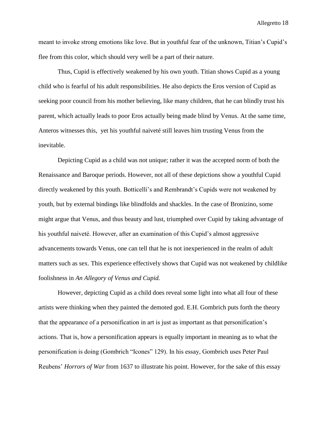meant to invoke strong emotions like love. But in youthful fear of the unknown, Titian"s Cupid"s flee from this color, which should very well be a part of their nature.

Thus, Cupid is effectively weakened by his own youth. Titian shows Cupid as a young child who is fearful of his adult responsibilities. He also depicts the Eros version of Cupid as seeking poor council from his mother believing, like many children, that he can blindly trust his parent, which actually leads to poor Eros actually being made blind by Venus. At the same time, Anteros witnesses this, yet his youthful naiveté still leaves him trusting Venus from the inevitable.

Depicting Cupid as a child was not unique; rather it was the accepted norm of both the Renaissance and Baroque periods. However, not all of these depictions show a youthful Cupid directly weakened by this youth. Botticelli"s and Rembrandt"s Cupids were not weakened by youth, but by external bindings like blindfolds and shackles. In the case of Bronizino, some might argue that Venus, and thus beauty and lust, triumphed over Cupid by taking advantage of his youthful naiveté. However, after an examination of this Cupid"s almost aggressive advancements towards Venus, one can tell that he is not inexperienced in the realm of adult matters such as sex. This experience effectively shows that Cupid was not weakened by childlike foolishness in *An Allegory of Venus and Cupid.* 

However, depicting Cupid as a child does reveal some light into what all four of these artists were thinking when they painted the demoted god. E.H. Gombrich puts forth the theory that the appearance of a personification in art is just as important as that personification"s actions. That is, how a personification appears is equally important in meaning as to what the personification is doing (Gombrich "Icones" 129). In his essay, Gombrich uses Peter Paul Reubens" *Horrors of War* from 1637 to illustrate his point. However, for the sake of this essay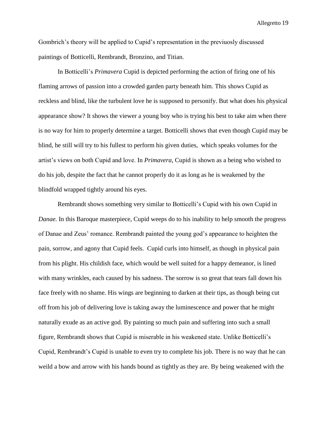Gombrich"s theory will be applied to Cupid"s representation in the previuosly discussed paintings of Botticelli, Rembrandt, Bronzino, and Titian.

In Botticelli"s *Primavera* Cupid is depicted performing the action of firing one of his flaming arrows of passion into a crowded garden party beneath him. This shows Cupid as reckless and blind, like the turbulent love he is supposed to personify. But what does his physical appearance show? It shows the viewer a young boy who is trying his best to take aim when there is no way for him to properly determine a target. Botticelli shows that even though Cupid may be blind, he still will try to his fullest to perform his given duties, which speaks volumes for the artist"s views on both Cupid and love. In *Primavera*, Cupid is shown as a being who wished to do his job, despite the fact that he cannot properly do it as long as he is weakened by the blindfold wrapped tightly around his eyes.

Rembrandt shows something very similar to Botticelli"s Cupid with his own Cupid in *Danae.* In this Baroque masterpiece, Cupid weeps do to his inability to help smooth the progress of Danae and Zeus" romance. Rembrandt painted the young god"s appearance to heighten the pain, sorrow, and agony that Cupid feels. Cupid curls into himself, as though in physical pain from his plight. His childish face, which would be well suited for a happy demeanor, is lined with many wrinkles, each caused by his sadness. The sorrow is so great that tears fall down his face freely with no shame. His wings are beginning to darken at their tips, as though being cut off from his job of delivering love is taking away the luminescence and power that he might naturally exude as an active god. By painting so much pain and suffering into such a small figure, Rembrandt shows that Cupid is miserable in his weakened state. Unlike Botticelli"s Cupid, Rembrandt"s Cupid is unable to even try to complete his job. There is no way that he can weild a bow and arrow with his hands bound as tightly as they are. By being weakened with the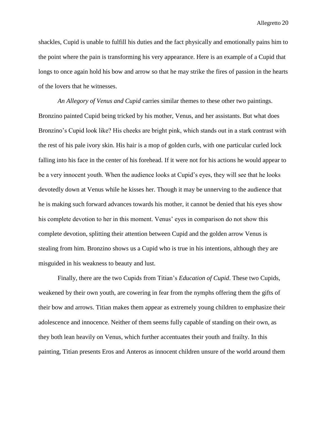shackles, Cupid is unable to fulfill his duties and the fact physically and emotionally pains him to the point where the pain is transforming his very appearance. Here is an example of a Cupid that longs to once again hold his bow and arrow so that he may strike the fires of passion in the hearts of the lovers that he witnesses.

*An Allegory of Venus and Cupid* carries similar themes to these other two paintings. Bronzino painted Cupid being tricked by his mother, Venus, and her assistants. But what does Bronzino's Cupid look like? His cheeks are bright pink, which stands out in a stark contrast with the rest of his pale ivory skin. His hair is a mop of golden curls, with one particular curled lock falling into his face in the center of his forehead. If it were not for his actions he would appear to be a very innocent youth. When the audience looks at Cupid"s eyes, they will see that he looks devotedly down at Venus while he kisses her. Though it may be unnerving to the audience that he is making such forward advances towards his mother, it cannot be denied that his eyes show his complete devotion to her in this moment. Venus' eyes in comparison do not show this complete devotion, splitting their attention between Cupid and the golden arrow Venus is stealing from him. Bronzino shows us a Cupid who is true in his intentions, although they are misguided in his weakness to beauty and lust.

Finally, there are the two Cupids from Titian"s *Education of Cupid*. These two Cupids, weakened by their own youth, are cowering in fear from the nymphs offering them the gifts of their bow and arrows. Titian makes them appear as extremely young children to emphasize their adolescence and innocence. Neither of them seems fully capable of standing on their own, as they both lean heavily on Venus, which further accentuates their youth and frailty. In this painting, Titian presents Eros and Anteros as innocent children unsure of the world around them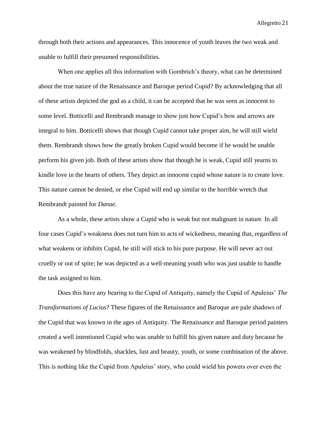through both their actions and appearances. This innocence of youth leaves the two weak and unable to fulfill their presumed responsibilities.

When one applies all this information with Gombrich's theory, what can be determined about the true nature of the Renaissance and Baroque period Cupid? By acknowledging that all of these artists depicted the god as a child, it can be accepted that he was seen as innocent to some level. Botticelli and Rembrandt manage to show just how Cupid"s bow and arrows are integral to him. Botticelli shows that though Cupid cannot take proper aim, he will still wield them. Rembrandt shows how the greatly broken Cupid would become if he would be unable perform his given job. Both of these artists show that though he is weak, Cupid still yearns to kindle love in the hearts of others. They depict an innocent cupid whose nature is to create love. This nature cannot be denied, or else Cupid will end up similar to the horrible wretch that Rembrandt painted for *Danae.*

As a whole, these artists show a Cupid who is weak but not malignant in nature. In all four cases Cupid"s weakness does not turn him to acts of wickedness, meaning that, regardless of what weakens or inhibits Cupid, he still will stick to his pure purpose. He will never act out cruelly or out of spite; he was depicted as a well-meaning youth who was just unable to handle the task assigned to him.

Does this have any bearing to the Cupid of Antiquity, namely the Cupid of Apuleius" *The Transformations of Lucius*? These figures of the Renaissance and Baroque are pale shadows of the Cupid that was known in the ages of Antiquity. The Renaissance and Baroque period painters created a well intentioned Cupid who was unable to fulfill his given nature and duty because he was weakened by blindfolds, shackles, lust and beauty, youth, or some combination of the above. This is nothing like the Cupid from Apuleius" story, who could wield his powers over even the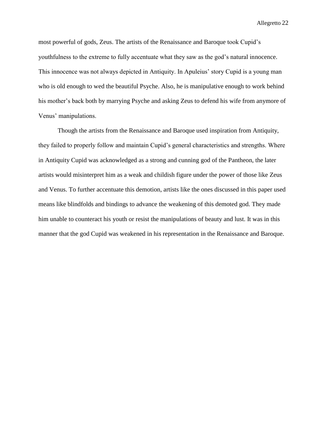most powerful of gods, Zeus. The artists of the Renaissance and Baroque took Cupid"s youthfulness to the extreme to fully accentuate what they saw as the god"s natural innocence. This innocence was not always depicted in Antiquity. In Apuleius" story Cupid is a young man who is old enough to wed the beautiful Psyche. Also, he is manipulative enough to work behind his mother's back both by marrying Psyche and asking Zeus to defend his wife from anymore of Venus" manipulations.

Though the artists from the Renaissance and Baroque used inspiration from Antiquity, they failed to properly follow and maintain Cupid"s general characteristics and strengths. Where in Antiquity Cupid was acknowledged as a strong and cunning god of the Pantheon, the later artists would misinterpret him as a weak and childish figure under the power of those like Zeus and Venus. To further accentuate this demotion, artists like the ones discussed in this paper used means like blindfolds and bindings to advance the weakening of this demoted god. They made him unable to counteract his youth or resist the manipulations of beauty and lust. It was in this manner that the god Cupid was weakened in his representation in the Renaissance and Baroque.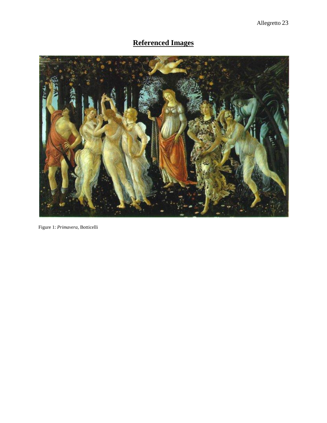# **Referenced Images**



Figure 1: *Primavera*, Botticelli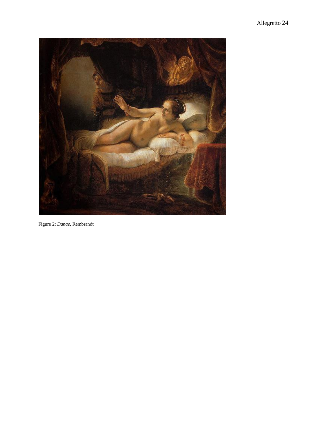

Figure 2: *Danae*, Rembrandt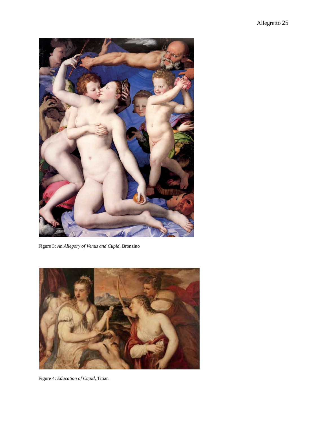

Figure 3: *An Allegory of Venus and Cupid*, Bronzino



Figure 4: *Education of Cupid*, Titian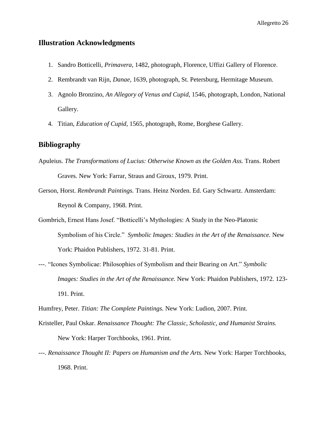### **Illustration Acknowledgments**

- 1. Sandro Botticelli, *Primavera*, 1482, photograph, Florence, Uffizi Gallery of Florence.
- 2. Rembrandt van Rijn, *Danae*, 1639, photograph, St. Petersburg, Hermitage Museum.
- 3. Agnolo Bronzino, *An Allegory of Venus and Cupid*, 1546, photograph, London, National Gallery.
- 4. Titian, *Education of Cupid*, 1565, photograph, Rome, Borghese Gallery.

#### **Bibliography**

- Apuleius. *The Transformations of Lucius: Otherwise Known as the Golden Ass.* Trans. Robert Graves. New York: Farrar, Straus and Giroux, 1979. Print.
- Gerson, Horst. *Rembrandt Paintings.* Trans. Heinz Norden. Ed. Gary Schwartz. Amsterdam: Reynol & Company, 1968. Print.
- Gombrich, Ernest Hans Josef. "Botticelli"s Mythologies: A Study in the Neo-Platonic Symbolism of his Circle." *Symbolic Images: Studies in the Art of the Renaissance.* New York: Phaidon Publishers, 1972. 31-81. Print.
- ---. "Icones Symbolicae: Philosophies of Symbolism and their Bearing on Art." *Symbolic Images: Studies in the Art of the Renaissance.* New York: Phaidon Publishers, 1972. 123- 191. Print.

Humfrey, Peter. *Titian: The Complete Paintings.* New York: Ludion, 2007. Print.

- Kristeller, Paul Oskar. *Renaissance Thought: The Classic, Scholastic, and Humanist Strains.*  New York: Harper Torchbooks, 1961. Print.
- ---. *Renaissance Thought II: Papers on Humanism and the Arts*. New York: Harper Torchbooks, 1968. Print.